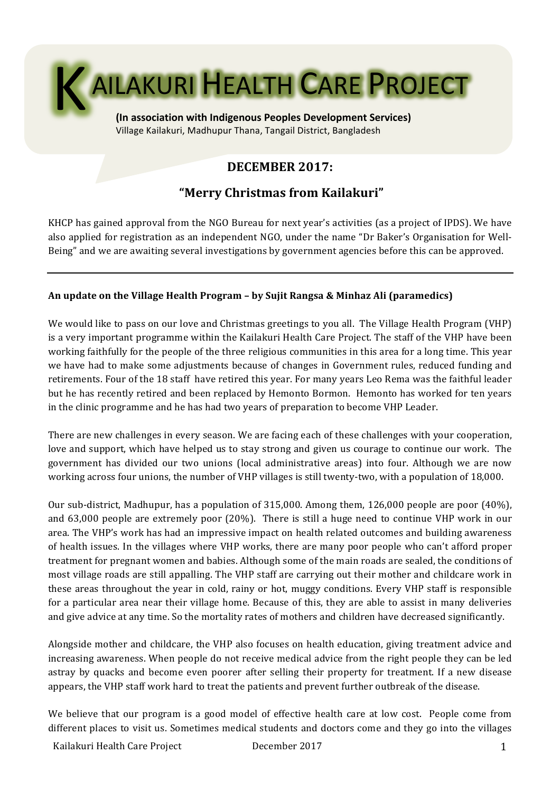

Village Kailakuri, Madhupur Thana, Tangail District, Bangladesh

# **DECEMBER 2017:**

# **"Merry Christmas from Kailakuri"**

KHCP has gained approval from the NGO Bureau for next year's activities (as a project of IPDS). We have also applied for registration as an independent NGO, under the name "Dr Baker's Organisation for Well-Being" and we are awaiting several investigations by government agencies before this can be approved.

## An update on the Village Health Program – by Sujit Rangsa & Minhaz Ali (paramedics)

We would like to pass on our love and Christmas greetings to you all. The Village Health Program (VHP) is a very important programme within the Kailakuri Health Care Project. The staff of the VHP have been working faithfully for the people of the three religious communities in this area for a long time. This year we have had to make some adjustments because of changes in Government rules, reduced funding and retirements. Four of the 18 staff have retired this year. For many years Leo Rema was the faithful leader but he has recently retired and been replaced by Hemonto Bormon. Hemonto has worked for ten years in the clinic programme and he has had two vears of preparation to become VHP Leader.

There are new challenges in every season. We are facing each of these challenges with your cooperation, love and support, which have helped us to stay strong and given us courage to continue our work. The government has divided our two unions (local administrative areas) into four. Although we are now working across four unions, the number of VHP villages is still twenty-two, with a population of 18,000.

Our sub-district, Madhupur, has a population of  $315,000$ . Among them,  $126,000$  people are poor  $(40\%)$ , and 63,000 people are extremely poor (20%). There is still a huge need to continue VHP work in our area. The VHP's work has had an impressive impact on health related outcomes and building awareness of health issues. In the villages where VHP works, there are many poor people who can't afford proper treatment for pregnant women and babies. Although some of the main roads are sealed, the conditions of most village roads are still appalling. The VHP staff are carrying out their mother and childcare work in these areas throughout the year in cold, rainy or hot, muggy conditions. Every VHP staff is responsible for a particular area near their village home. Because of this, they are able to assist in many deliveries and give advice at any time. So the mortality rates of mothers and children have decreased significantly.

Alongside mother and childcare, the VHP also focuses on health education, giving treatment advice and increasing awareness. When people do not receive medical advice from the right people they can be led astray by quacks and become even poorer after selling their property for treatment. If a new disease appears, the VHP staff work hard to treat the patients and prevent further outbreak of the disease.

We believe that our program is a good model of effective health care at low cost. People come from different places to visit us. Sometimes medical students and doctors come and they go into the villages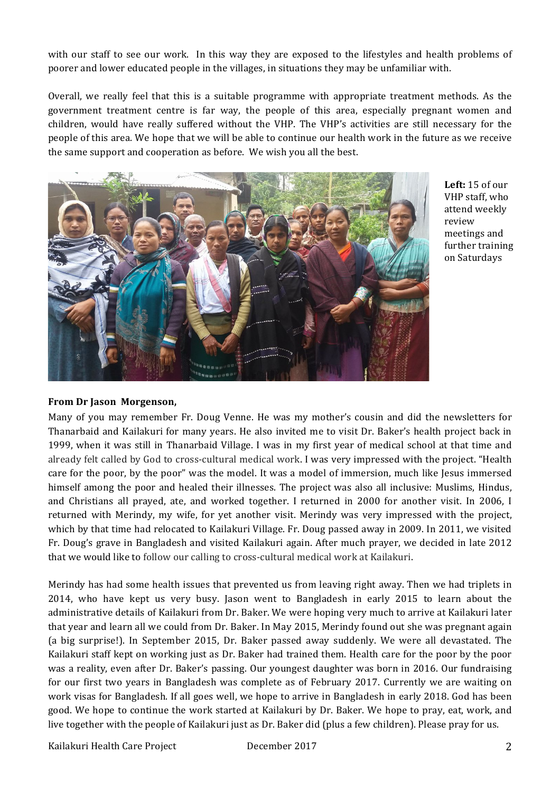with our staff to see our work. In this way they are exposed to the lifestyles and health problems of poorer and lower educated people in the villages, in situations they may be unfamiliar with.

Overall, we really feel that this is a suitable programme with appropriate treatment methods. As the government treatment centre is far way, the people of this area, especially pregnant women and children, would have really suffered without the VHP. The VHP's activities are still necessary for the people of this area. We hope that we will be able to continue our health work in the future as we receive the same support and cooperation as before. We wish you all the best.



Left: 15 of our VHP staff, who attend weekly review meetings and further training on Saturdays 

### **From Dr Jason Morgenson,**

Many of you may remember Fr. Doug Venne. He was my mother's cousin and did the newsletters for Thanarbaid and Kailakuri for many years. He also invited me to visit Dr. Baker's health project back in 1999, when it was still in Thanarbaid Village. I was in my first year of medical school at that time and already felt called by God to cross-cultural medical work. I was very impressed with the project. "Health care for the poor, by the poor" was the model. It was a model of immersion, much like Jesus immersed himself among the poor and healed their illnesses. The project was also all inclusive: Muslims, Hindus, and Christians all prayed, ate, and worked together. I returned in 2000 for another visit. In 2006, I returned with Merindy, my wife, for yet another visit. Merindy was very impressed with the project, which by that time had relocated to Kailakuri Village. Fr. Doug passed away in 2009. In 2011, we visited Fr. Doug's grave in Bangladesh and visited Kailakuri again. After much prayer, we decided in late 2012 that we would like to follow our calling to cross-cultural medical work at Kailakuri.

Merindy has had some health issues that prevented us from leaving right away. Then we had triplets in 2014, who have kept us very busy. Jason went to Bangladesh in early 2015 to learn about the administrative details of Kailakuri from Dr. Baker. We were hoping very much to arrive at Kailakuri later that year and learn all we could from Dr. Baker. In May 2015, Merindy found out she was pregnant again (a big surprise!). In September 2015, Dr. Baker passed away suddenly. We were all devastated. The Kailakuri staff kept on working just as Dr. Baker had trained them. Health care for the poor by the poor was a reality, even after Dr. Baker's passing. Our youngest daughter was born in 2016. Our fundraising for our first two years in Bangladesh was complete as of February 2017. Currently we are waiting on work visas for Bangladesh. If all goes well, we hope to arrive in Bangladesh in early 2018. God has been good. We hope to continue the work started at Kailakuri by Dr. Baker. We hope to pray, eat, work, and live together with the people of Kailakuri just as Dr. Baker did (plus a few children). Please pray for us.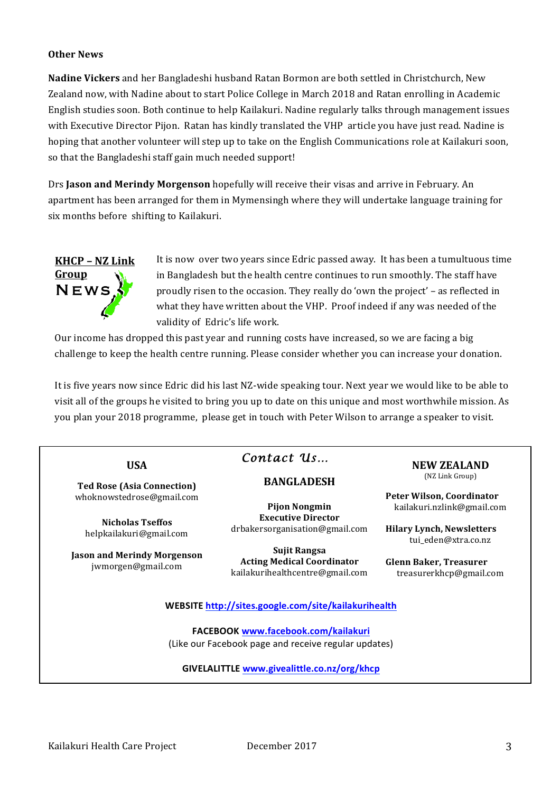#### **Other News**

**Nadine Vickers** and her Bangladeshi husband Ratan Bormon are both settled in Christchurch, New Zealand now, with Nadine about to start Police College in March 2018 and Ratan enrolling in Academic English studies soon. Both continue to help Kailakuri. Nadine regularly talks through management issues with Executive Director Pijon. Ratan has kindly translated the VHP article you have just read. Nadine is hoping that another volunteer will step up to take on the English Communications role at Kailakuri soon, so that the Bangladeshi staff gain much needed support!

Drs **Jason and Merindy Morgenson** hopefully will receive their visas and arrive in February. An apartment has been arranged for them in Mymensingh where they will undertake language training for six months before shifting to Kailakuri.



It is now over two years since Edric passed away. It has been a tumultuous time in Bangladesh but the health centre continues to run smoothly. The staff have proudly risen to the occasion. They really do 'own the project' – as reflected in what they have written about the VHP. Proof indeed if any was needed of the validity of Edric's life work.

Our income has dropped this past year and running costs have increased, so we are facing a big challenge to keep the health centre running. Please consider whether you can increase your donation.

It is five years now since Edric did his last NZ-wide speaking tour. Next year we would like to be able to visit all of the groups he visited to bring you up to date on this unique and most worthwhile mission. As you plan your 2018 programme, please get in touch with Peter Wilson to arrange a speaker to visit.

## **USA**

**Ted Rose (Asia Connection)** whoknowstedrose@gmail.com

**Nicholas Tseffos** helpkailakuri@gmail.com

**Jason and Merindy Morgenson** jwmorgen@gmail.com

# *Contact Us…*

## **BANGLADESH**

**Pijon Nongmin Executive Director** drbakersorganisation@gmail.com

**Sujit Rangsa Acting Medical Coordinator** kailakurihealthcentre@gmail.com **NEW ZEALAND** (NZ Link Group)

**Peter Wilson, Coordinator** kailakuri.nzlink@gmail.com

**Hilary Lynch, Newsletters** tui\_eden@xtra.co.nz

**Glenn Baker, Treasurer** treasurerkhcp@gmail.com

### **WEBSITE http://sites.google.com/site/kailakurihealth**

**FACEBOOK www.facebook.com/kailakuri** (Like our Facebook page and receive regular updates)

### **GIVELALITTLE www.givealittle.co.nz/org/khcp**